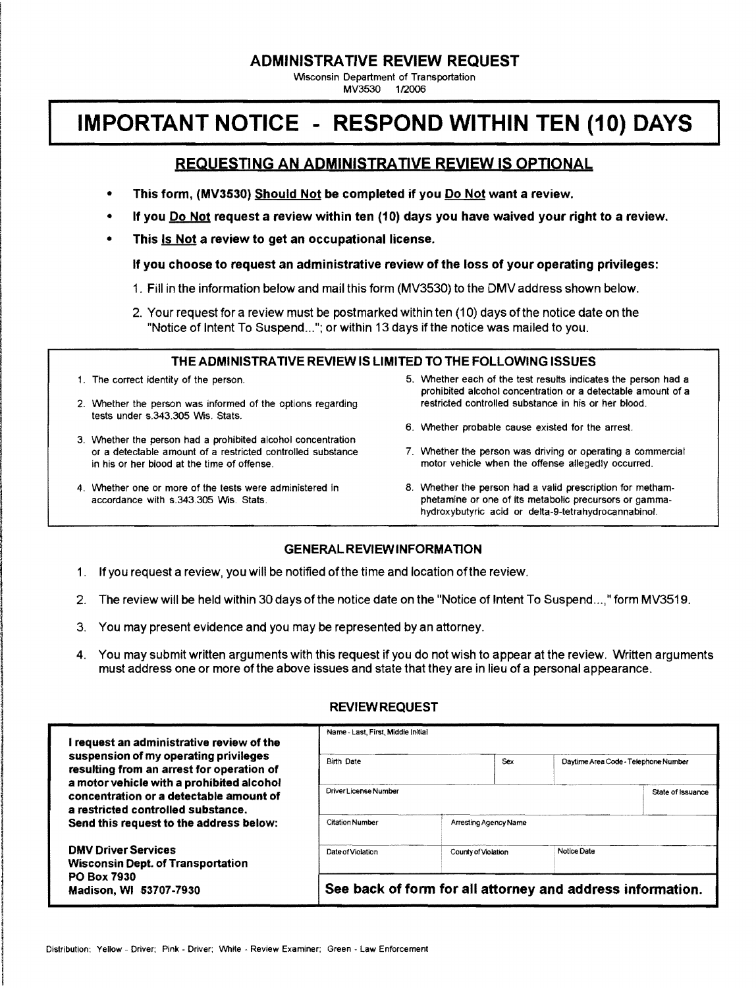#### **ADMINISTRATIVE REVIEW REQUEST**

Wisconsin Department of Transportation MV3530 112006

# **IMPORTANT NOTICE - RESPOND WITHIN TEN (10) DAYS**

# REQUESTING AN ADMINISTRATIVE REVIEW IS OPTIONAL

- This form, (MV3530) Should Not be completed if you Do Not want a review.
- If you **Do Not** request a review within ten (10) days you have waived your right to a review.
- This Is Not a review to get an occupational license.

If you choose to request an administrative review of the loss of your operating privileges:

- 1. Fill in the information below and mail this form (MV3530) to the DMV address shown below.
- 2. Your request for a review must be postmarked within ten (10) days of the notice date on the "Notice of Intent To Suspend..."; or within 13 days if the notice was mailed to you.

#### THE ADMINISTRATIVE REVIEW IS LIMITED TO THE FOLLOWING ISSUES

- 
- 2. Whether the person was informed of the options regarding restricted controlled substance in his or her blood. tests under s.343.305 Wis. Stats.
- 3. Whether the person had a prohibited alcohol concentration or a detectable amount of a restricted controlled substance in his or her blood at the time of offense. The motor vehicle when the offense allegedly occurred.
- 
- 1. The correct identity of the person. The correct identity of the person. The states indicates the person had a prohibited alcohol concentration or a detectable amount of a
	- 6. Whether probable cause existed for the arrest.
	- 7. Whether the person was driving or operating a commercial
- 4. Whether one or more of the tests were administered in 8. Whether the person had a valid prescription for methamaccordance with s.343.305 Wis. Stats. **Stats. blue accordance with s.343.305 Wis. Stats. phetamine or one of its metabolic precursors or gamma**hydroxybutyric acid or delta-9-tetrahydrocannabinol.

## **GENERAL REVIEWINFORMATION**

- 1. Ifyou request a review, you will be notified ofthe time and location ofthe review.
- 2. The review will be held within 30 days of the notice date on the "Notice of Intent To Suspend...," form MV3519.
- 3. You may present evidence and you may be represented by an attorney.
- 4. You may submit written arguments with this request if you do not wish to appear at the review. Written arguments must address one or more ofthe above issues and state that they are in lieu of a personal appearance.

## REVIEW REQUEST

| I request an administrative review of the<br>suspension of my operating privileges<br>resulting from an arrest for operation of<br>a motor vehicle with a prohibited alcohol<br>concentration or a detectable amount of<br>a restricted controlled substance.<br>Send this request to the address below: | Name - Last, First, Middle Initial                         |                       |     |                                      |  |  |
|----------------------------------------------------------------------------------------------------------------------------------------------------------------------------------------------------------------------------------------------------------------------------------------------------------|------------------------------------------------------------|-----------------------|-----|--------------------------------------|--|--|
|                                                                                                                                                                                                                                                                                                          | <b>Birth Date</b>                                          |                       | Sex | Daytime Area Code - Telephone Number |  |  |
|                                                                                                                                                                                                                                                                                                          | Driver License Number                                      |                       |     | State of Issuance                    |  |  |
|                                                                                                                                                                                                                                                                                                          | <b>Citation Number</b>                                     | Arresting Agency Name |     |                                      |  |  |
| <b>DMV Driver Services</b><br><b>Wisconsin Dept. of Transportation</b><br><b>PO Box 7930</b><br>Madison, WI 53707-7930                                                                                                                                                                                   | Date of Violation                                          | County of Violation   |     | Notice Date                          |  |  |
|                                                                                                                                                                                                                                                                                                          | See back of form for all attorney and address information. |                       |     |                                      |  |  |